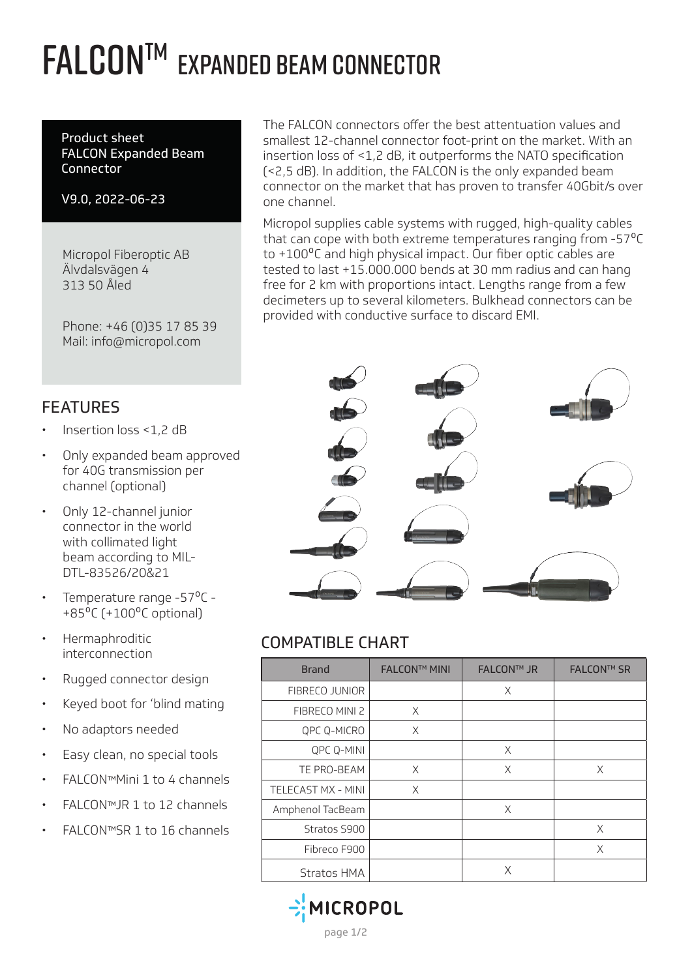## **FALCON™ EXPANDED BEAM CONNECTOR**

Product sheet FALCON Expanded Beam Connector

V9.0, 2022-06-23

Micropol Fiberoptic AB Älvdalsvägen 4 313 50 Åled

Phone: +46 (0)35 17 85 39 Mail: info@micropol.com

The FALCON connectors offer the best attentuation values and smallest 12-channel connector foot-print on the market. With an insertion loss of <1,2 dB, it outperforms the NATO specification (<2,5 dB). In addition, the FALCON is the only expanded beam connector on the market that has proven to transfer 40Gbit/s over one channel.

Micropol supplies cable systems with rugged, high-quality cables that can cope with both extreme temperatures ranging from -57<sup>o</sup>C to +100<sup>o</sup>C and high physical impact. Our fiber optic cables are tested to last +15.000.000 bends at 30 mm radius and can hang free for 2 km with proportions intact. Lengths range from a few decimeters up to several kilometers. Bulkhead connectors can be provided with conductive surface to discard EMI.



## COMPATIBLE CHART

| <b>Brand</b>       | <b>FALCON™ MINI</b> | <b>FALCON™ JR</b> | <b>FALCON™ SR</b> |
|--------------------|---------------------|-------------------|-------------------|
| FIBRECO JUNIOR     |                     | X                 |                   |
| FIBRECO MINI 2     | X                   |                   |                   |
| QPC Q-MICRO        | X                   |                   |                   |
| QPC Q-MINI         |                     | X                 |                   |
| TE PRO-BEAM        | X                   | X                 | X                 |
| TELECAST MX - MINI | X                   |                   |                   |
| Amphenol TacBeam   |                     | X                 |                   |
| Stratos S900       |                     |                   | X                 |
| Fibreco F900       |                     |                   | X                 |
| Stratos HMA        |                     | X                 |                   |



#### FEATURES

- Insertion loss <1,2 dB
- Only expanded beam approved for 40G transmission per channel (optional)
- Only 12-channel junior connector in the world with collimated light beam according to MIL-DTL-83526/20&21
- Temperature range -57°C - $+85^{\circ}$ C ( $+100^{\circ}$ C optional)
- Hermaphroditic interconnection
- Rugged connector design
- Keyed boot for 'blind mating
- No adaptors needed
- Easy clean, no special tools
- FALCONTMMini 1 to 4 channels
- FALCON™JR 1 to 12 channels
- FALCON™SR 1 to 16 channels